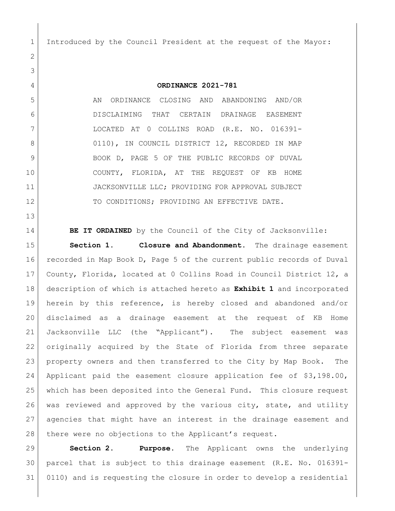Introduced by the Council President at the request of the Mayor:

## **ORDINANCE 2021-781**

 AN ORDINANCE CLOSING AND ABANDONING AND/OR DISCLAIMING THAT CERTAIN DRAINAGE EASEMENT LOCATED AT 0 COLLINS ROAD (R.E. NO. 016391- 8 0110), IN COUNCIL DISTRICT 12, RECORDED IN MAP 9 BOOK D, PAGE 5 OF THE PUBLIC RECORDS OF DUVAL 10 | COUNTY, FLORIDA, AT THE REQUEST OF KB HOME JACKSONVILLE LLC; PROVIDING FOR APPROVAL SUBJECT 12 TO CONDITIONS; PROVIDING AN EFFECTIVE DATE.

**BE IT ORDAINED** by the Council of the City of Jacksonville:

 **Section 1. Closure and Abandonment.** The drainage easement recorded in Map Book D, Page 5 of the current public records of Duval County, Florida, located at 0 Collins Road in Council District 12, a description of which is attached hereto as **Exhibit 1** and incorporated herein by this reference, is hereby closed and abandoned and/or disclaimed as a drainage easement at the request of KB Home Jacksonville LLC (the "Applicant"). The subject easement was originally acquired by the State of Florida from three separate property owners and then transferred to the City by Map Book. The Applicant paid the easement closure application fee of \$3,198.00, which has been deposited into the General Fund. This closure request 26 was reviewed and approved by the various city, state, and utility agencies that might have an interest in the drainage easement and 28 there were no objections to the Applicant's request.

 **Section 2. Purpose.** The Applicant owns the underlying parcel that is subject to this drainage easement (R.E. No. 016391- 0110) and is requesting the closure in order to develop a residential